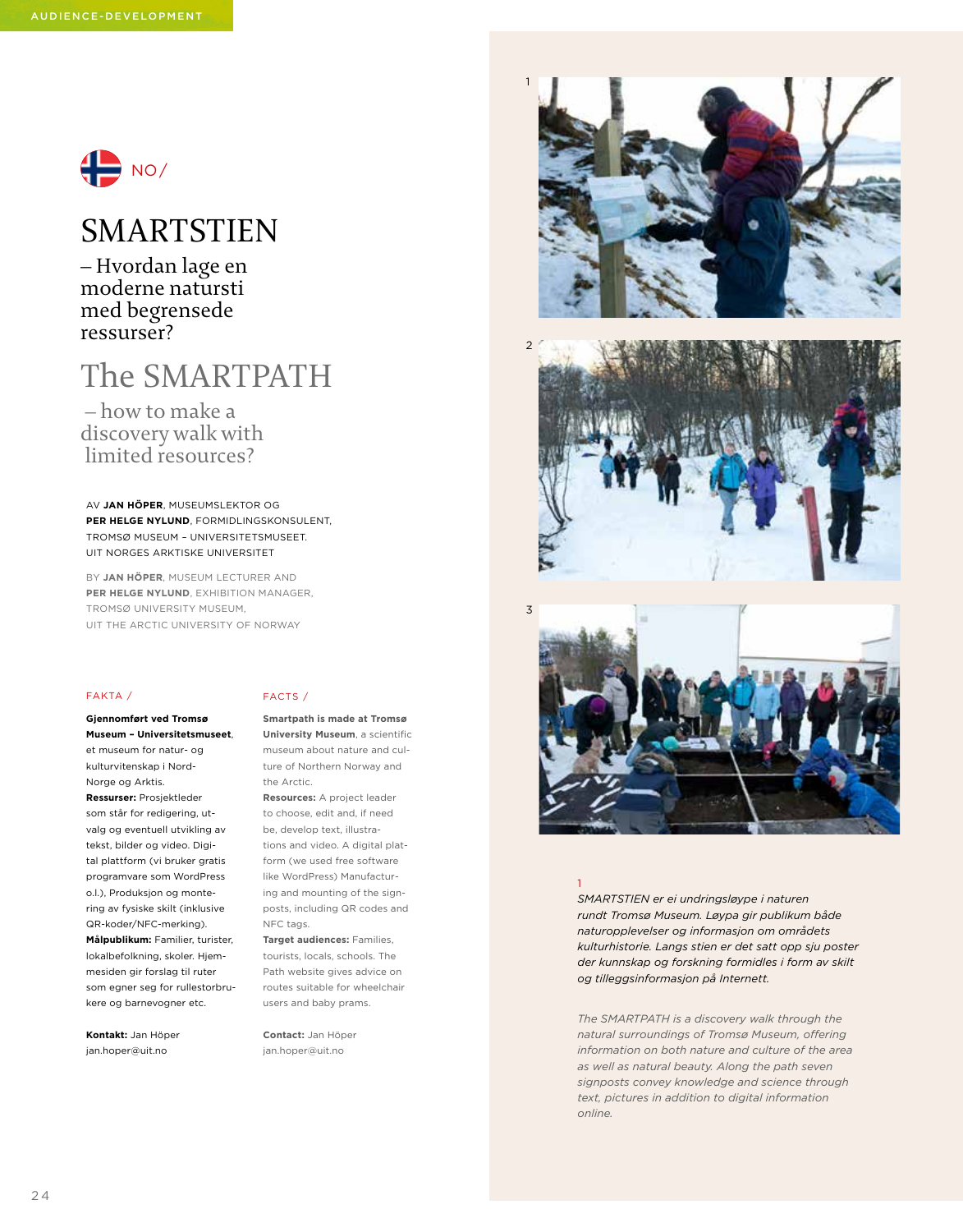

## SMARTSTIEN

– Hvordan lage en moderne natursti med begrensede ressurser?

# The SMARTPATH

 – how to make a discovery walk with limited resources?

AV **JAN HÖPER**, MUSEUMSLEKTOR OG **PER HELGE NYLUND**, FORMIDLINGSKONSULENT, TROMSØ MUSEUM – UNIVERSITETSMUSEET. UIT NORGES ARKTISKE UNIVERSITET

BY **JAN HÖPER**, MUSEUM LECTURER AND **PER HELGE NYLUND**, EXHIBITION MANAGER, TROMSØ UNIVERSITY MUSEUM, UIT THE ARCTIC UNIVERSITY OF NORWAY

#### FAKTA /

**Gjennomført ved Tromsø Museum – Universitetsmuseet**, et museum for natur- og kulturvitenskap i Nord-Norge og Arktis. **Ressurser:** Prosjektleder som står for redigering, utvalg og eventuell utvikling av tekst, bilder og video. Digital plattform (vi bruker gratis programvare som WordPress o.l.), Produksjon og montering av fysiske skilt (inklusive QR-koder/NFC-merking).

**Målpublikum:** Familier, turister, lokalbefolkning, skoler. Hjemmesiden gir forslag til ruter som egner seg for rullestorbrukere og barnevogner etc.

**Kontakt:** Jan Höper jan.hoper@uit.no

### FACTS /

**Smartpath is made at Tromsø University Museum**, a scientific museum about nature and culture of Northern Norway and the Arctic.

**Resources:** A project leader to choose, edit and, if need be, develop text, illustrations and video. A digital platform (we used free software like WordPress) Manufacturing and mounting of the signposts, including QR codes and NFC tags.

**Target audiences:** Families, tourists, locals, schools. The Path website gives advice on routes suitable for wheelchair users and baby prams.

**Contact:** Jan Höper jan.hoper@uit.no







#### 1

*SMARTSTIEN er ei undringsløype i naturen rundt Tromsø Museum. Løypa gir publikum både naturopplevelser og informasjon om områdets kulturhistorie. Langs stien er det satt opp sju poster der kunnskap og forskning formidles i form av skilt og tilleggsinformasjon på Internett.* 

*The SMARTPATH is a discovery walk through the natural surroundings of Tromsø Museum, offering information on both nature and culture of the area as well as natural beauty. Along the path seven signposts convey knowledge and science through text, pictures in addition to digital information online.*